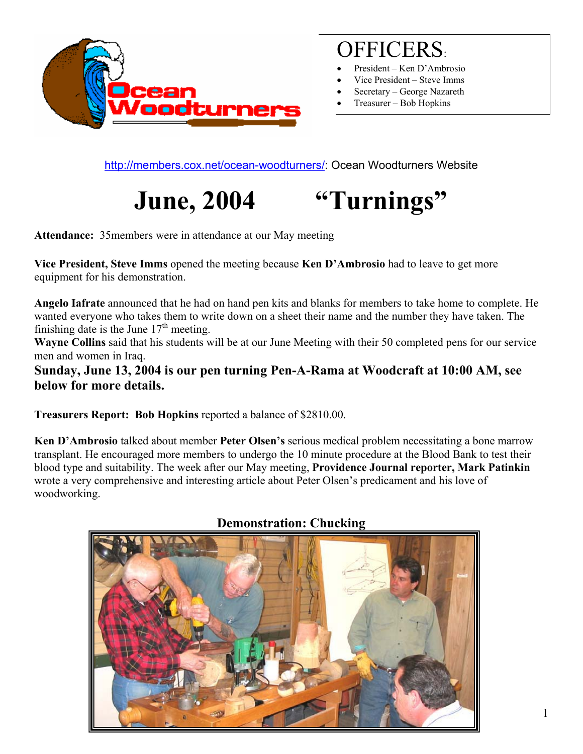

## OFFICERS:

- President Ken D'Ambrosio
- Vice President Steve Imms
- Secretary George Nazareth
- Treasurer Bob Hopkins

<http://members.cox.net/ocean-woodturners/>: Ocean Woodturners Website

# **June, 2004 "Turnings"**

**Attendance:** 35members were in attendance at our May meeting

**Vice President, Steve Imms** opened the meeting because **Ken D'Ambrosio** had to leave to get more equipment for his demonstration.

**Angelo Iafrate** announced that he had on hand pen kits and blanks for members to take home to complete. He wanted everyone who takes them to write down on a sheet their name and the number they have taken. The finishing date is the June  $17<sup>th</sup>$  meeting.

**Wayne Collins** said that his students will be at our June Meeting with their 50 completed pens for our service men and women in Iraq.

**Sunday, June 13, 2004 is our pen turning Pen-A-Rama at Woodcraft at 10:00 AM, see below for more details.** 

**Treasurers Report: Bob Hopkins** reported a balance of \$2810.00.

**Ken D'Ambrosio** talked about member **Peter Olsen's** serious medical problem necessitating a bone marrow transplant. He encouraged more members to undergo the 10 minute procedure at the Blood Bank to test their blood type and suitability. The week after our May meeting, **Providence Journal reporter, Mark Patinkin**  wrote a very comprehensive and interesting article about Peter Olsen's predicament and his love of woodworking.



#### **Demonstration: Chucking**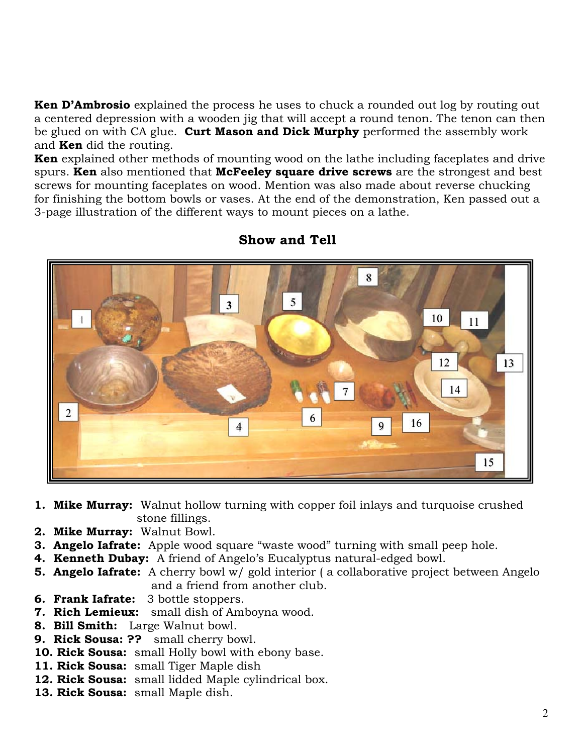**Ken D'Ambrosio** explained the process he uses to chuck a rounded out log by routing out a centered depression with a wooden jig that will accept a round tenon. The tenon can then be glued on with CA glue. **Curt Mason and Dick Murphy** performed the assembly work and **Ken** did the routing.

**Ken** explained other methods of mounting wood on the lathe including faceplates and drive spurs. **Ken** also mentioned that **McFeeley square drive screws** are the strongest and best screws for mounting faceplates on wood. Mention was also made about reverse chucking for finishing the bottom bowls or vases. At the end of the demonstration, Ken passed out a 3-page illustration of the different ways to mount pieces on a lathe.



#### **Show and Tell**

- **1. Mike Murray:** Walnut hollow turning with copper foil inlays and turquoise crushed stone fillings.
- **2. Mike Murray:** Walnut Bowl.
- **3. Angelo Iafrate:** Apple wood square "waste wood" turning with small peep hole.
- **4. Kenneth Dubay:** A friend of Angelo's Eucalyptus natural-edged bowl.
- **5. Angelo Iafrate:** A cherry bowl w/ gold interior (a collaborative project between Angelo and a friend from another club.
- **6. Frank Iafrate:** 3 bottle stoppers.
- **7. Rich Lemieux:** small dish of Amboyna wood.
- **8. Bill Smith:** Large Walnut bowl.
- **9. Rick Sousa: ??** small cherry bowl.
- **10. Rick Sousa:** small Holly bowl with ebony base.
- **11. Rick Sousa:** small Tiger Maple dish
- **12. Rick Sousa:** small lidded Maple cylindrical box.
- **13. Rick Sousa:** small Maple dish.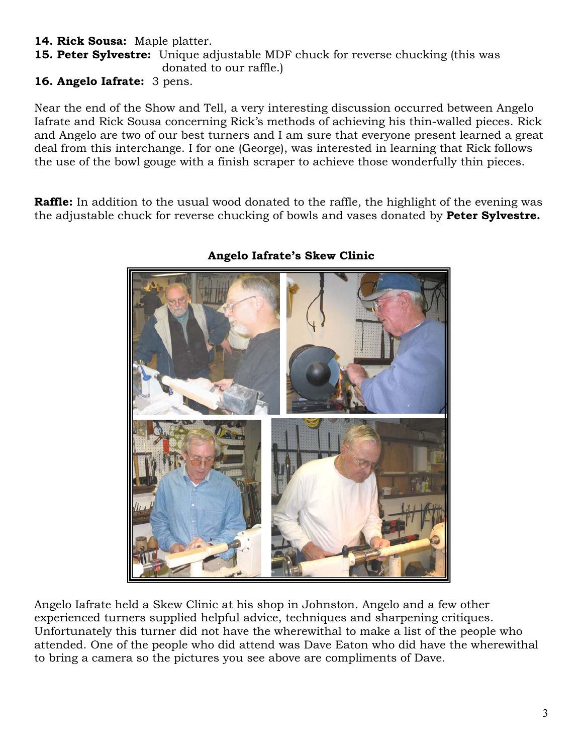#### **14. Rick Sousa:** Maple platter.

**15. Peter Sylvestre:** Unique adjustable MDF chuck for reverse chucking (this was donated to our raffle.)

**16. Angelo Iafrate:** 3 pens.

Near the end of the Show and Tell, a very interesting discussion occurred between Angelo Iafrate and Rick Sousa concerning Rick's methods of achieving his thin-walled pieces. Rick and Angelo are two of our best turners and I am sure that everyone present learned a great deal from this interchange. I for one (George), was interested in learning that Rick follows the use of the bowl gouge with a finish scraper to achieve those wonderfully thin pieces.

**Raffle:** In addition to the usual wood donated to the raffle, the highlight of the evening was the adjustable chuck for reverse chucking of bowls and vases donated by **Peter Sylvestre.** 



#### **Angelo Iafrate's Skew Clinic**

Angelo Iafrate held a Skew Clinic at his shop in Johnston. Angelo and a few other experienced turners supplied helpful advice, techniques and sharpening critiques. Unfortunately this turner did not have the wherewithal to make a list of the people who attended. One of the people who did attend was Dave Eaton who did have the wherewithal to bring a camera so the pictures you see above are compliments of Dave.